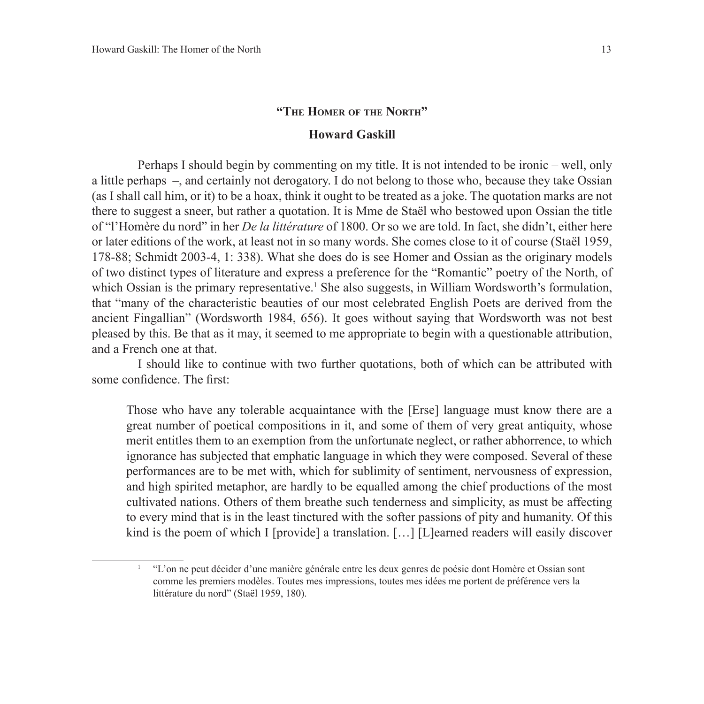## **"The Homer of the North"**

## **Howard Gaskill**

Perhaps I should begin by commenting on my title. It is not intended to be ironic – well, only a little perhaps –, and certainly not derogatory. I do not belong to those who, because they take Ossian (as I shall call him, or it) to be a hoax, think it ought to be treated as a joke. The quotation marks are not there to suggest a sneer, but rather a quotation. It is Mme de Staël who bestowed upon Ossian the title of "l'Homère du nord" in her *De la littérature* of 1800. Or so we are told. In fact, she didn't, either here or later editions of the work, at least not in so many words. She comes close to it of course (Staël 1959, 178-88; Schmidt 2003-4, 1: 338). What she does do is see Homer and Ossian as the originary models of two distinct types of literature and express a preference for the "Romantic" poetry of the North, of which Ossian is the primary representative.<sup>1</sup> She also suggests, in William Wordsworth's formulation, that "many of the characteristic beauties of our most celebrated English Poets are derived from the ancient Fingallian" (Wordsworth 1984, 656). It goes without saying that Wordsworth was not best pleased by this. Be that as it may, it seemed to me appropriate to begin with a questionable attribution, and a French one at that.

I should like to continue with two further quotations, both of which can be attributed with some confidence. The first:

Those who have any tolerable acquaintance with the [Erse] language must know there are a great number of poetical compositions in it, and some of them of very great antiquity, whose merit entitles them to an exemption from the unfortunate neglect, or rather abhorrence, to which ignorance has subjected that emphatic language in which they were composed. Several of these performances are to be met with, which for sublimity of sentiment, nervousness of expression, and high spirited metaphor, are hardly to be equalled among the chief productions of the most cultivated nations. Others of them breathe such tenderness and simplicity, as must be affecting to every mind that is in the least tinctured with the softer passions of pity and humanity. Of this kind is the poem of which I [provide] a translation. [...] [L]earned readers will easily discover

<sup>1</sup> "L'on ne peut décider d'une manière générale entre les deux genres de poésie dont Homère et Ossian sont comme les premiers modèles. Toutes mes impressions, toutes mes idées me portent de préférence vers la littérature du nord" (Staël 1959, 180).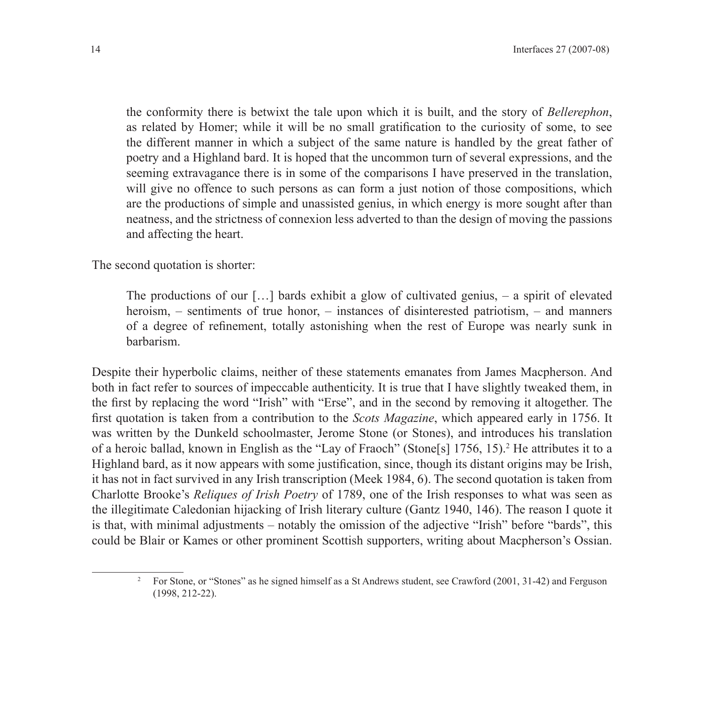the conformity there is betwixt the tale upon which it is built, and the story of *Bellerephon*, as related by Homer; while it will be no small gratification to the curiosity of some, to see the different manner in which a subject of the same nature is handled by the great father of poetry and a Highland bard. It is hoped that the uncommon turn of several expressions, and the seeming extravagance there is in some of the comparisons I have preserved in the translation, will give no offence to such persons as can form a just notion of those compositions, which are the productions of simple and unassisted genius, in which energy is more sought after than neatness, and the strictness of connexion less adverted to than the design of moving the passions and affecting the heart.

The second quotation is shorter:

The productions of our  $[\,\ldots\,]$  bards exhibit a glow of cultivated genius,  $-$  a spirit of elevated heroism, – sentiments of true honor, – instances of disinterested patriotism, – and manners of a degree of refinement, totally astonishing when the rest of Europe was nearly sunk in barbarism.

Despite their hyperbolic claims, neither of these statements emanates from James Macpherson. And both in fact refer to sources of impeccable authenticity. It is true that I have slightly tweaked them, in the first by replacing the word "Irish" with "Erse", and in the second by removing it altogether. The first quotation is taken from a contribution to the *Scots Magazine*, which appeared early in 1756. It was written by the Dunkeld schoolmaster, Jerome Stone (or Stones), and introduces his translation of a heroic ballad, known in English as the "Lay of Fraoch" (Stone[s] 1756, 15).<sup>2</sup> He attributes it to a Highland bard, as it now appears with some justification, since, though its distant origins may be Irish, it has not in fact survived in any Irish transcription (Meek 1984, 6). The second quotation is taken from Charlotte Brooke's *Reliques of Irish Poetry* of 1789, one of the Irish responses to what was seen as the illegitimate Caledonian hijacking of Irish literary culture (Gantz 1940, 146). The reason I quote it is that, with minimal adjustments – notably the omission of the adjective "Irish" before "bards", this could be Blair or Kames or other prominent Scottish supporters, writing about Macpherson's Ossian.

<sup>&</sup>lt;sup>2</sup> For Stone, or "Stones" as he signed himself as a St Andrews student, see Crawford (2001, 31-42) and Ferguson (1998, 212-22).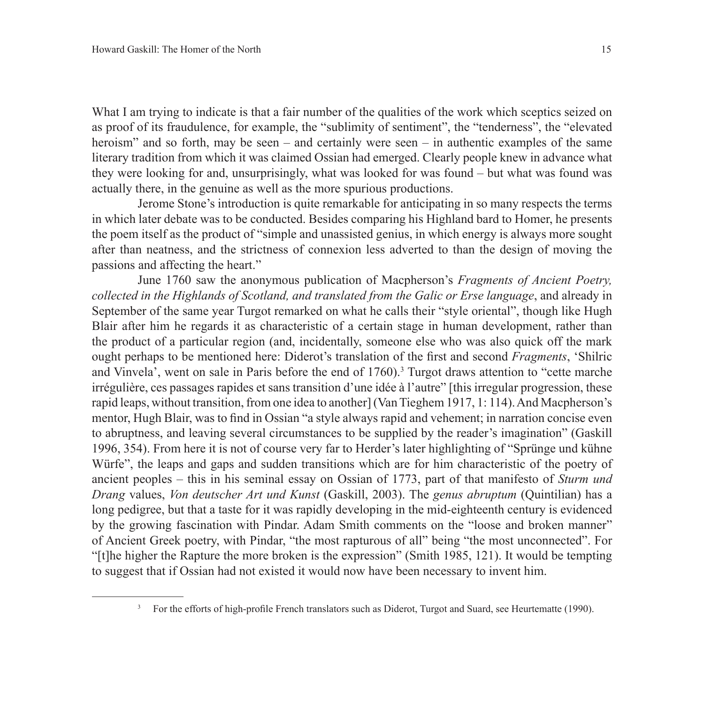What I am trying to indicate is that a fair number of the qualities of the work which sceptics seized on as proof of its fraudulence, for example, the "sublimity of sentiment", the "tenderness", the "elevated heroism" and so forth, may be seen – and certainly were seen – in authentic examples of the same literary tradition from which it was claimed Ossian had emerged. Clearly people knew in advance what they were looking for and, unsurprisingly, what was looked for was found – but what was found was actually there, in the genuine as well as the more spurious productions.

Jerome Stone's introduction is quite remarkable for anticipating in so many respects the terms in which later debate was to be conducted. Besides comparing his Highland bard to Homer, he presents the poem itself as the product of "simple and unassisted genius, in which energy is always more sought after than neatness, and the strictness of connexion less adverted to than the design of moving the passions and affecting the heart."

June 1760 saw the anonymous publication of Macpherson's *Fragments of Ancient Poetry, collected in the Highlands of Scotland, and translated from the Galic or Erse language*, and already in September of the same year Turgot remarked on what he calls their "style oriental", though like Hugh Blair after him he regards it as characteristic of a certain stage in human development, rather than the product of a particular region (and, incidentally, someone else who was also quick off the mark ought perhaps to be mentioned here: Diderot's translation of the first and second *Fragments*, 'Shilric and Vinvela', went on sale in Paris before the end of 1760).<sup>3</sup> Turgot draws attention to "cette marche" irrégulière, ces passages rapides et sans transition d'une idée à l'autre" [this irregular progression, these rapid leaps, without transition, from one idea to another] (Van Tieghem 1917, 1: 114). And Macpherson's mentor, Hugh Blair, was to find in Ossian "a style always rapid and vehement; in narration concise even to abruptness, and leaving several circumstances to be supplied by the reader's imagination" (Gaskill 1996, 354). From here it is not of course very far to Herder's later highlighting of "Sprünge und kühne Würfe", the leaps and gaps and sudden transitions which are for him characteristic of the poetry of ancient peoples – this in his seminal essay on Ossian of 1773, part of that manifesto of *Sturm und Drang* values, *Von deutscher Art und Kunst* (Gaskill, 2003). The *genus abruptum* (Quintilian) has a long pedigree, but that a taste for it was rapidly developing in the mid-eighteenth century is evidenced by the growing fascination with Pindar. Adam Smith comments on the "loose and broken manner" of Ancient Greek poetry, with Pindar, "the most rapturous of all" being "the most unconnected". For "[t]he higher the Rapture the more broken is the expression" (Smith 1985, 121). It would be tempting to suggest that if Ossian had not existed it would now have been necessary to invent him.

<sup>&</sup>lt;sup>3</sup> For the efforts of high-profile French translators such as Diderot, Turgot and Suard, see Heurtematte (1990).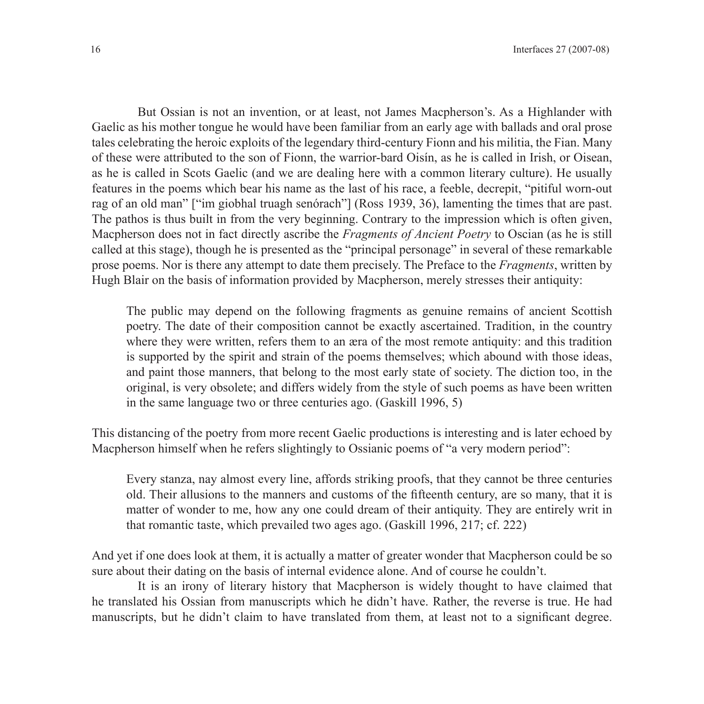But Ossian is not an invention, or at least, not James Macpherson's. As a Highlander with Gaelic as his mother tongue he would have been familiar from an early age with ballads and oral prose tales celebrating the heroic exploits of the legendary third-century Fionn and his militia, the Fian. Many of these were attributed to the son of Fionn, the warrior-bard Oisín, as he is called in Irish, or Oisean, as he is called in Scots Gaelic (and we are dealing here with a common literary culture). He usually features in the poems which bear his name as the last of his race, a feeble, decrepit, "pitiful worn-out rag of an old man" ["im giobhal truagh senórach"] (Ross 1939, 36), lamenting the times that are past. The pathos is thus built in from the very beginning. Contrary to the impression which is often given, Macpherson does not in fact directly ascribe the *Fragments of Ancient Poetry* to Oscian (as he is still called at this stage), though he is presented as the "principal personage" in several of these remarkable prose poems. Nor is there any attempt to date them precisely. The Preface to the *Fragments*, written by Hugh Blair on the basis of information provided by Macpherson, merely stresses their antiquity:

The public may depend on the following fragments as genuine remains of ancient Scottish poetry. The date of their composition cannot be exactly ascertained. Tradition, in the country where they were written, refers them to an æra of the most remote antiquity: and this tradition is supported by the spirit and strain of the poems themselves; which abound with those ideas, and paint those manners, that belong to the most early state of society. The diction too, in the original, is very obsolete; and differs widely from the style of such poems as have been written in the same language two or three centuries ago. (Gaskill 1996, 5)

This distancing of the poetry from more recent Gaelic productions is interesting and is later echoed by Macpherson himself when he refers slightingly to Ossianic poems of "a very modern period":

Every stanza, nay almost every line, affords striking proofs, that they cannot be three centuries old. Their allusions to the manners and customs of the fifteenth century, are so many, that it is matter of wonder to me, how any one could dream of their antiquity. They are entirely writ in that romantic taste, which prevailed two ages ago. (Gaskill 1996, 217; cf. 222)

And yet if one does look at them, it is actually a matter of greater wonder that Macpherson could be so sure about their dating on the basis of internal evidence alone. And of course he couldn't.

It is an irony of literary history that Macpherson is widely thought to have claimed that he translated his Ossian from manuscripts which he didn't have. Rather, the reverse is true. He had manuscripts, but he didn't claim to have translated from them, at least not to a significant degree.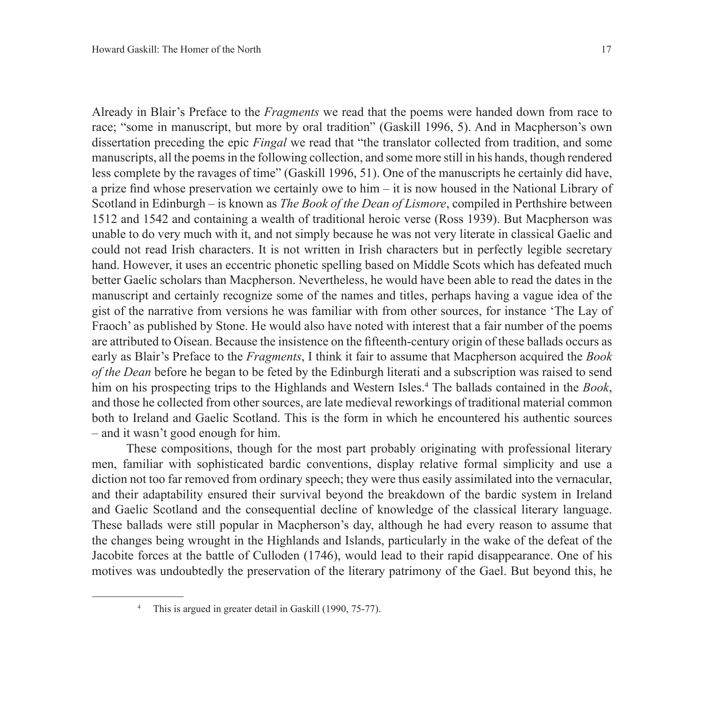Already in Blair's Preface to the *Fragments* we read that the poems were handed down from race to race; "some in manuscript, but more by oral tradition" (Gaskill 1996, 5). And in Macpherson's own dissertation preceding the epic *Fingal* we read that "the translator collected from tradition, and some manuscripts, all the poems in the following collection, and some more still in his hands, though rendered less complete by the ravages of time" (Gaskill 1996, 51). One of the manuscripts he certainly did have, a prize find whose preservation we certainly owe to him – it is now housed in the National Library of Scotland in Edinburgh – is known as *The Book of the Dean of Lismore*, compiled in Perthshire between 1512 and 1542 and containing a wealth of traditional heroic verse (Ross 1939). But Macpherson was unable to do very much with it, and not simply because he was not very literate in classical Gaelic and could not read Irish characters. It is not written in Irish characters but in perfectly legible secretary hand. However, it uses an eccentric phonetic spelling based on Middle Scots which has defeated much better Gaelic scholars than Macpherson. Nevertheless, he would have been able to read the dates in the manuscript and certainly recognize some of the names and titles, perhaps having a vague idea of the gist of the narrative from versions he was familiar with from other sources, for instance 'The Lay of Fraoch' as published by Stone. He would also have noted with interest that a fair number of the poems are attributed to Oisean. Because the insistence on the fifteenth-century origin of these ballads occurs as early as Blair's Preface to the *Fragments*, I think it fair to assume that Macpherson acquired the *Book of the Dean* before he began to be feted by the Edinburgh literati and a subscription was raised to send him on his prospecting trips to the Highlands and Western Isles.4 The ballads contained in the *Book*, and those he collected from other sources, are late medieval reworkings of traditional material common both to Ireland and Gaelic Scotland. This is the form in which he encountered his authentic sources – and it wasn't good enough for him.

These compositions, though for the most part probably originating with professional literary men, familiar with sophisticated bardic conventions, display relative formal simplicity and use a diction not too far removed from ordinary speech; they were thus easily assimilated into the vernacular, and their adaptability ensured their survival beyond the breakdown of the bardic system in Ireland and Gaelic Scotland and the consequential decline of knowledge of the classical literary language. These ballads were still popular in Macpherson's day, although he had every reason to assume that the changes being wrought in the Highlands and Islands, particularly in the wake of the defeat of the Jacobite forces at the battle of Culloden (1746), would lead to their rapid disappearance. One of his motives was undoubtedly the preservation of the literary patrimony of the Gael. But beyond this, he

<sup>&</sup>lt;sup>4</sup> This is argued in greater detail in Gaskill (1990, 75-77).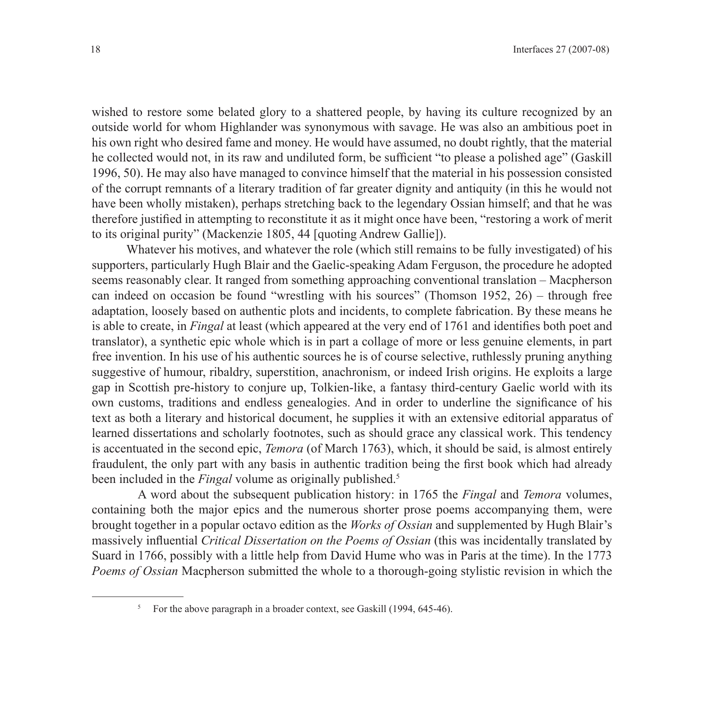wished to restore some belated glory to a shattered people, by having its culture recognized by an outside world for whom Highlander was synonymous with savage. He was also an ambitious poet in his own right who desired fame and money. He would have assumed, no doubt rightly, that the material he collected would not, in its raw and undiluted form, be sufficient "to please a polished age" (Gaskill 1996, 50). He may also have managed to convince himself that the material in his possession consisted of the corrupt remnants of a literary tradition of far greater dignity and antiquity (in this he would not have been wholly mistaken), perhaps stretching back to the legendary Ossian himself; and that he was therefore justified in attempting to reconstitute it as it might once have been, "restoring a work of merit to its original purity" (Mackenzie 1805, 44 [quoting Andrew Gallie]).

Whatever his motives, and whatever the role (which still remains to be fully investigated) of his supporters, particularly Hugh Blair and the Gaelic-speaking Adam Ferguson, the procedure he adopted seems reasonably clear. It ranged from something approaching conventional translation – Macpherson can indeed on occasion be found "wrestling with his sources" (Thomson 1952, 26) – through free adaptation, loosely based on authentic plots and incidents, to complete fabrication. By these means he is able to create, in *Fingal* at least (which appeared at the very end of 1761 and identifies both poet and translator), a synthetic epic whole which is in part a collage of more or less genuine elements, in part free invention. In his use of his authentic sources he is of course selective, ruthlessly pruning anything suggestive of humour, ribaldry, superstition, anachronism, or indeed Irish origins. He exploits a large gap in Scottish pre-history to conjure up, Tolkien-like, a fantasy third-century Gaelic world with its own customs, traditions and endless genealogies. And in order to underline the significance of his text as both a literary and historical document, he supplies it with an extensive editorial apparatus of learned dissertations and scholarly footnotes, such as should grace any classical work. This tendency is accentuated in the second epic, *Temora* (of March 1763), which, it should be said, is almost entirely fraudulent, the only part with any basis in authentic tradition being the first book which had already been included in the *Fingal* volume as originally published.<sup>5</sup>

A word about the subsequent publication history: in 1765 the *Fingal* and *Temora* volumes, containing both the major epics and the numerous shorter prose poems accompanying them, were brought together in a popular octavo edition as the *Works of Ossian* and supplemented by Hugh Blair's massively influential *Critical Dissertation on the Poems of Ossian* (this was incidentally translated by Suard in 1766, possibly with a little help from David Hume who was in Paris at the time). In the 1773 *Poems of Ossian* Macpherson submitted the whole to a thorough-going stylistic revision in which the

<sup>&</sup>lt;sup>5</sup> For the above paragraph in a broader context, see Gaskill (1994, 645-46).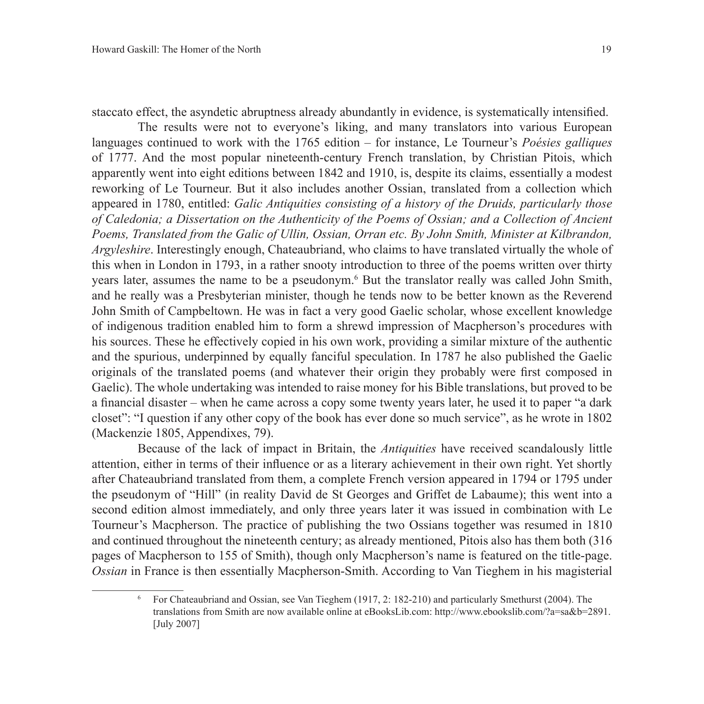staccato effect, the asyndetic abruptness already abundantly in evidence, is systematically intensified.

The results were not to everyone's liking, and many translators into various European languages continued to work with the 1765 edition – for instance, Le Tourneur's *Poésies galliques*  of 1777. And the most popular nineteenth-century French translation, by Christian Pitois, which apparently went into eight editions between 1842 and 1910, is, despite its claims, essentially a modest reworking of Le Tourneur. But it also includes another Ossian, translated from a collection which appeared in 1780, entitled: *Galic Antiquities consisting of a history of the Druids, particularly those of Caledonia; a Dissertation on the Authenticity of the Poems of Ossian; and a Collection of Ancient Poems, Translated from the Galic of Ullin, Ossian, Orran etc. By John Smith, Minister at Kilbrandon, Argyleshire*. Interestingly enough, Chateaubriand, who claims to have translated virtually the whole of this when in London in 1793, in a rather snooty introduction to three of the poems written over thirty years later, assumes the name to be a pseudonym.<sup>6</sup> But the translator really was called John Smith, and he really was a Presbyterian minister, though he tends now to be better known as the Reverend John Smith of Campbeltown. He was in fact a very good Gaelic scholar, whose excellent knowledge of indigenous tradition enabled him to form a shrewd impression of Macpherson's procedures with his sources. These he effectively copied in his own work, providing a similar mixture of the authentic and the spurious, underpinned by equally fanciful speculation. In 1787 he also published the Gaelic originals of the translated poems (and whatever their origin they probably were first composed in Gaelic). The whole undertaking was intended to raise money for his Bible translations, but proved to be a financial disaster – when he came across a copy some twenty years later, he used it to paper "a dark closet": "I question if any other copy of the book has ever done so much service", as he wrote in 1802 (Mackenzie 1805, Appendixes, 79).

Because of the lack of impact in Britain, the *Antiquities* have received scandalously little attention, either in terms of their influence or as a literary achievement in their own right. Yet shortly after Chateaubriand translated from them, a complete French version appeared in 1794 or 1795 under the pseudonym of "Hill" (in reality David de St Georges and Griffet de Labaume); this went into a second edition almost immediately, and only three years later it was issued in combination with Le Tourneur's Macpherson. The practice of publishing the two Ossians together was resumed in 1810 and continued throughout the nineteenth century; as already mentioned, Pitois also has them both (316 pages of Macpherson to 155 of Smith), though only Macpherson's name is featured on the title-page. *Ossian* in France is then essentially Macpherson-Smith. According to Van Tieghem in his magisterial

<sup>6</sup> For Chateaubriand and Ossian, see Van Tieghem (1917, 2: 182-210) and particularly Smethurst (2004). The translations from Smith are now available online at eBooksLib.com: http://www.ebookslib.com/?a=sa&b=2891. [July 2007]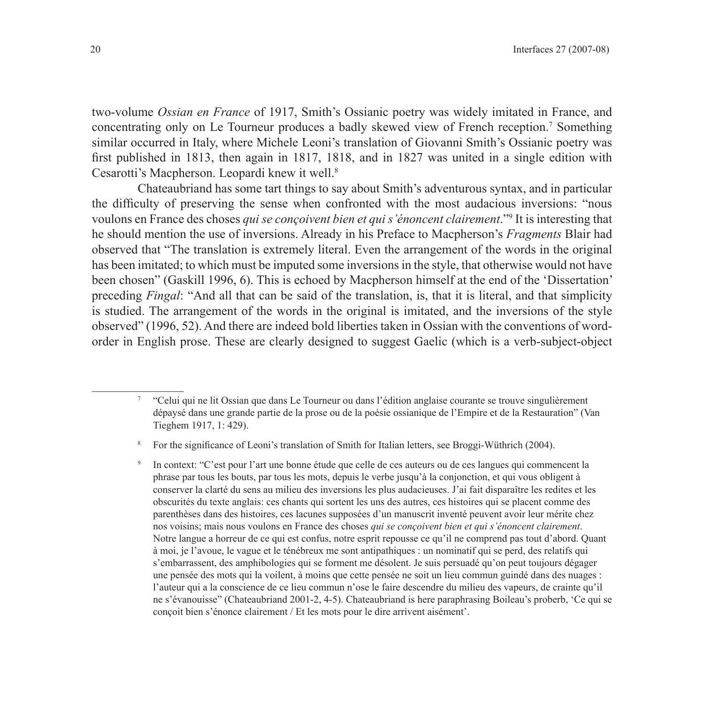two-volume *Ossian en France* of 1917, Smith's Ossianic poetry was widely imitated in France, and concentrating only on Le Tourneur produces a badly skewed view of French reception.7 Something similar occurred in Italy, where Michele Leoni's translation of Giovanni Smith's Ossianic poetry was first published in 1813, then again in 1817, 1818, and in 1827 was united in a single edition with Cesarotti's Macpherson. Leopardi knew it well.8

Chateaubriand has some tart things to say about Smith's adventurous syntax, and in particular the difficulty of preserving the sense when confronted with the most audacious inversions: "nous voulons en France des choses *qui se conçoivent bien et qui s'énoncent clairement*."9 It is interesting that he should mention the use of inversions. Already in his Preface to Macpherson's *Fragments* Blair had observed that "The translation is extremely literal. Even the arrangement of the words in the original has been imitated; to which must be imputed some inversions in the style, that otherwise would not have been chosen" (Gaskill 1996, 6). This is echoed by Macpherson himself at the end of the 'Dissertation' preceding *Fingal*: "And all that can be said of the translation, is, that it is literal, and that simplicity is studied. The arrangement of the words in the original is imitated, and the inversions of the style observed" (1996, 52). And there are indeed bold liberties taken in Ossian with the conventions of wordorder in English prose. These are clearly designed to suggest Gaelic (which is a verb-subject-object

In context: "C'est pour l'art une bonne étude que celle de ces auteurs ou de ces langues qui commencent la phrase par tous les bouts, par tous les mots, depuis le verbe jusqu'à la conjonction, et qui vous obligent à conserver la clarté du sens au milieu des inversions les plus audacieuses. J'ai fait disparaître les redites et les obscurités du texte anglais: ces chants qui sortent les uns des autres, ces histoires qui se placent comme des parenthèses dans des histoires, ces lacunes supposées d'un manuscrit inventé peuvent avoir leur mérite chez nos voisins; mais nous voulons en France des choses *qui se conçoivent bien et qui s'énoncent clairement*. Notre langue a horreur de ce qui est confus, notre esprit repousse ce qu'il ne comprend pas tout d'abord. Quant à moi, je l'avoue, le vague et le ténébreux me sont antipathiques : un nominatif qui se perd, des relatifs qui s'embarrassent, des amphibologies qui se forment me désolent. Je suis persuadé qu'on peut toujours dégager une pensée des mots qui la voilent, à moins que cette pensée ne soit un lieu commun guindé dans des nuages : l'auteur qui a la conscience de ce lieu commun n'ose le faire descendre du milieu des vapeurs, de crainte qu'il ne s'évanouisse" (Chateaubriand 2001-2, 4-5). Chateaubriand is here paraphrasing Boileau's proberb, 'Ce qui se conçoit bien s'énonce clairement / Et les mots pour le dire arrivent aisément'.

<sup>7</sup> "Celui qui ne lit Ossian que dans Le Tourneur ou dans l'édition anglaise courante se trouve singulièrement dépaysé dans une grande partie de la prose ou de la poésie ossianique de l'Empire et de la Restauration" (Van Tieghem 1917, 1: 429).

<sup>8</sup> For the significance of Leoni's translation of Smith for Italian letters, see Broggi-Wüthrich (2004).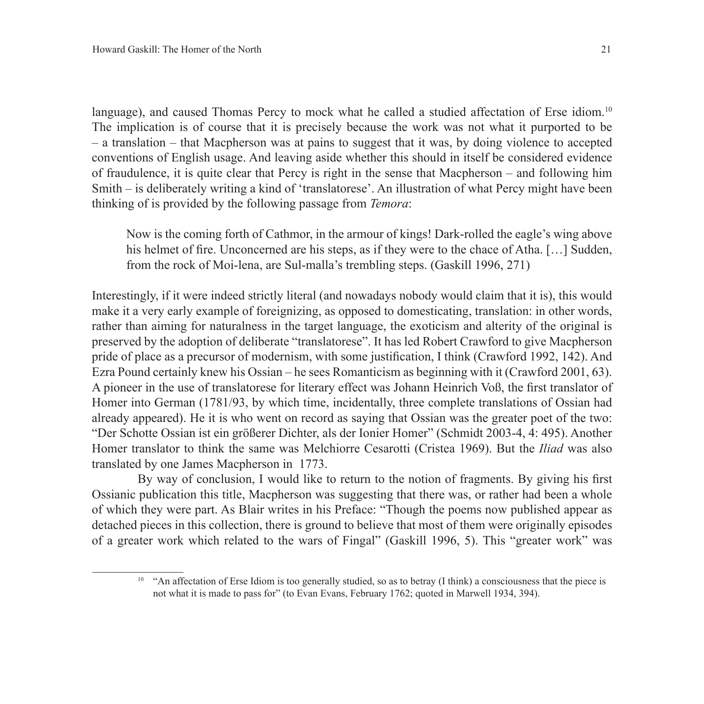language), and caused Thomas Percy to mock what he called a studied affectation of Erse idiom.<sup>10</sup> The implication is of course that it is precisely because the work was not what it purported to be – a translation – that Macpherson was at pains to suggest that it was, by doing violence to accepted conventions of English usage. And leaving aside whether this should in itself be considered evidence of fraudulence, it is quite clear that Percy is right in the sense that Macpherson – and following him Smith – is deliberately writing a kind of 'translatorese'. An illustration of what Percy might have been thinking of is provided by the following passage from *Temora*:

Now is the coming forth of Cathmor, in the armour of kings! Dark-rolled the eagle's wing above his helmet of fire. Unconcerned are his steps, as if they were to the chace of Atha. [...] Sudden, from the rock of Moi-lena, are Sul-malla's trembling steps. (Gaskill 1996, 271)

Interestingly, if it were indeed strictly literal (and nowadays nobody would claim that it is), this would make it a very early example of foreignizing, as opposed to domesticating, translation: in other words, rather than aiming for naturalness in the target language, the exoticism and alterity of the original is preserved by the adoption of deliberate "translatorese". It has led Robert Crawford to give Macpherson pride of place as a precursor of modernism, with some justification, I think (Crawford 1992, 142). And Ezra Pound certainly knew his Ossian – he sees Romanticism as beginning with it (Crawford 2001, 63). A pioneer in the use of translatorese for literary effect was Johann Heinrich Voß, the first translator of Homer into German (1781/93, by which time, incidentally, three complete translations of Ossian had already appeared). He it is who went on record as saying that Ossian was the greater poet of the two: "Der Schotte Ossian ist ein größerer Dichter, als der Ionier Homer" (Schmidt 2003-4, 4: 495). Another Homer translator to think the same was Melchiorre Cesarotti (Cristea 1969). But the *Iliad* was also translated by one James Macpherson in 1773.

By way of conclusion, I would like to return to the notion of fragments. By giving his first Ossianic publication this title, Macpherson was suggesting that there was, or rather had been a whole of which they were part. As Blair writes in his Preface: "Though the poems now published appear as detached pieces in this collection, there is ground to believe that most of them were originally episodes of a greater work which related to the wars of Fingal" (Gaskill 1996, 5). This "greater work" was

<sup>&</sup>lt;sup>10</sup> "An affectation of Erse Idiom is too generally studied, so as to betray (I think) a consciousness that the piece is not what it is made to pass for" (to Evan Evans, February 1762; quoted in Marwell 1934, 394).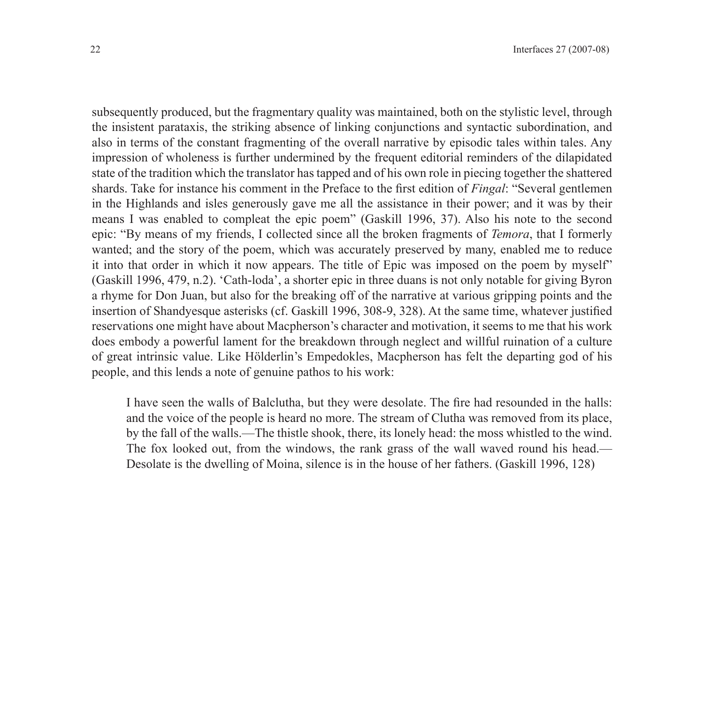subsequently produced, but the fragmentary quality was maintained, both on the stylistic level, through the insistent parataxis, the striking absence of linking conjunctions and syntactic subordination, and also in terms of the constant fragmenting of the overall narrative by episodic tales within tales. Any impression of wholeness is further undermined by the frequent editorial reminders of the dilapidated state of the tradition which the translator has tapped and of his own role in piecing together the shattered shards. Take for instance his comment in the Preface to the first edition of *Fingal*: "Several gentlemen in the Highlands and isles generously gave me all the assistance in their power; and it was by their means I was enabled to compleat the epic poem" (Gaskill 1996, 37). Also his note to the second epic: "By means of my friends, I collected since all the broken fragments of *Temora*, that I formerly wanted; and the story of the poem, which was accurately preserved by many, enabled me to reduce it into that order in which it now appears. The title of Epic was imposed on the poem by myself" (Gaskill 1996, 479, n.2). 'Cath-loda', a shorter epic in three duans is not only notable for giving Byron a rhyme for Don Juan, but also for the breaking off of the narrative at various gripping points and the insertion of Shandyesque asterisks (cf. Gaskill 1996, 308-9, 328). At the same time, whatever justified reservations one might have about Macpherson's character and motivation, it seems to me that his work does embody a powerful lament for the breakdown through neglect and willful ruination of a culture of great intrinsic value. Like Hölderlin's Empedokles, Macpherson has felt the departing god of his people, and this lends a note of genuine pathos to his work:

I have seen the walls of Balclutha, but they were desolate. The fire had resounded in the halls: and the voice of the people is heard no more. The stream of Clutha was removed from its place, by the fall of the walls.—The thistle shook, there, its lonely head: the moss whistled to the wind. The fox looked out, from the windows, the rank grass of the wall waved round his head.— Desolate is the dwelling of Moina, silence is in the house of her fathers. (Gaskill 1996, 128)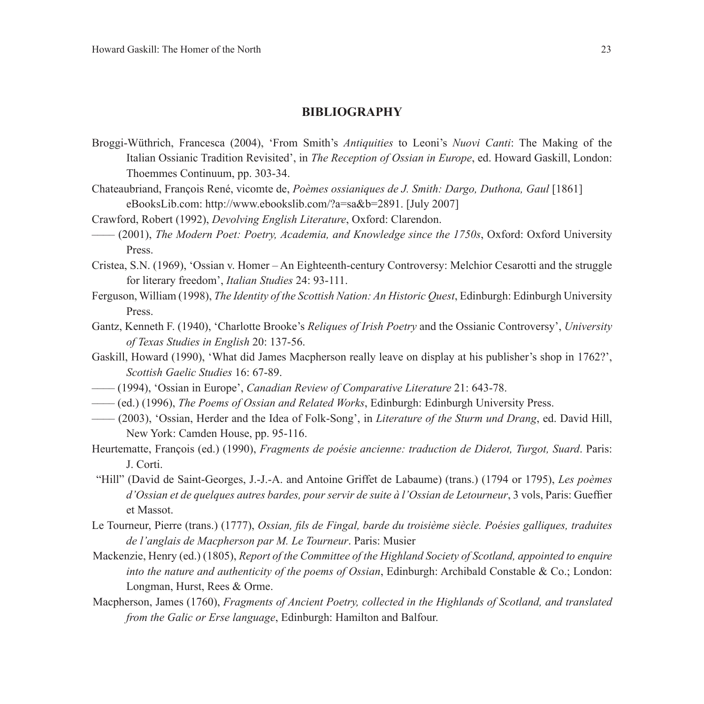## **Bibliography**

- Broggi-Wüthrich, Francesca (2004), 'From Smith's *Antiquities* to Leoni's *Nuovi Canti*: The Making of the Italian Ossianic Tradition Revisited', in *The Reception of Ossian in Europe*, ed. Howard Gaskill, London: Thoemmes Continuum, pp. 303-34.
- Chateaubriand, François René, vicomte de, *Poèmes ossianiques de J. Smith: Dargo, Duthona, Gaul* [1861] eBooksLib.com: http://www.ebookslib.com/?a=sa&b=2891. [July 2007]
- Crawford, Robert (1992), *Devolving English Literature*, Oxford: Clarendon.
- –––– (2001), *The Modern Poet: Poetry, Academia, and Knowledge since the 1750s*, Oxford: Oxford University Press.
- Cristea, S.N. (1969), 'Ossian v. Homer An Eighteenth-century Controversy: Melchior Cesarotti and the struggle for literary freedom', *Italian Studies* 24: 93-111.
- Ferguson, William (1998), *The Identity of the Scottish Nation: An Historic Quest*, Edinburgh: Edinburgh University Press.
- Gantz, Kenneth F. (1940), 'Charlotte Brooke's *Reliques of Irish Poetry* and the Ossianic Controversy', *University of Texas Studies in English* 20: 137-56.
- Gaskill, Howard (1990), 'What did James Macpherson really leave on display at his publisher's shop in 1762?', *Scottish Gaelic Studies* 16: 67-89.
- –––– (1994), 'Ossian in Europe', *Canadian Review of Comparative Literature* 21: 643-78.
- –––– (ed.) (1996), *The Poems of Ossian and Related Works*, Edinburgh: Edinburgh University Press.
- –––– (2003), 'Ossian, Herder and the Idea of Folk-Song', in *Literature of the Sturm und Drang*, ed. David Hill, New York: Camden House, pp. 95-116.
- Heurtematte, François (ed.) (1990), *Fragments de poésie ancienne: traduction de Diderot, Turgot, Suard*. Paris: J. Corti.
- "Hill" (David de Saint-Georges, J.-J.-A. and Antoine Griffet de Labaume) (trans.) (1794 or 1795), *Les poèmes d'Ossian et de quelques autres bardes, pour servir de suite à l'Ossian de Letourneur*, 3 vols, Paris: Gueffier et Massot.
- Le Tourneur, Pierre (trans.) (1777), *Ossian, fils de Fingal, barde du troisième siècle. Poésies galliques, traduites de l'anglais de Macpherson par M. Le Tourneur*. Paris: Musier
- Mackenzie, Henry (ed.) (1805), *Report of the Committee of the Highland Society of Scotland, appointed to enquire into the nature and authenticity of the poems of Ossian*, Edinburgh: Archibald Constable & Co.; London: Longman, Hurst, Rees & Orme.
- Macpherson, James (1760), *Fragments of Ancient Poetry, collected in the Highlands of Scotland, and translated from the Galic or Erse language*, Edinburgh: Hamilton and Balfour.